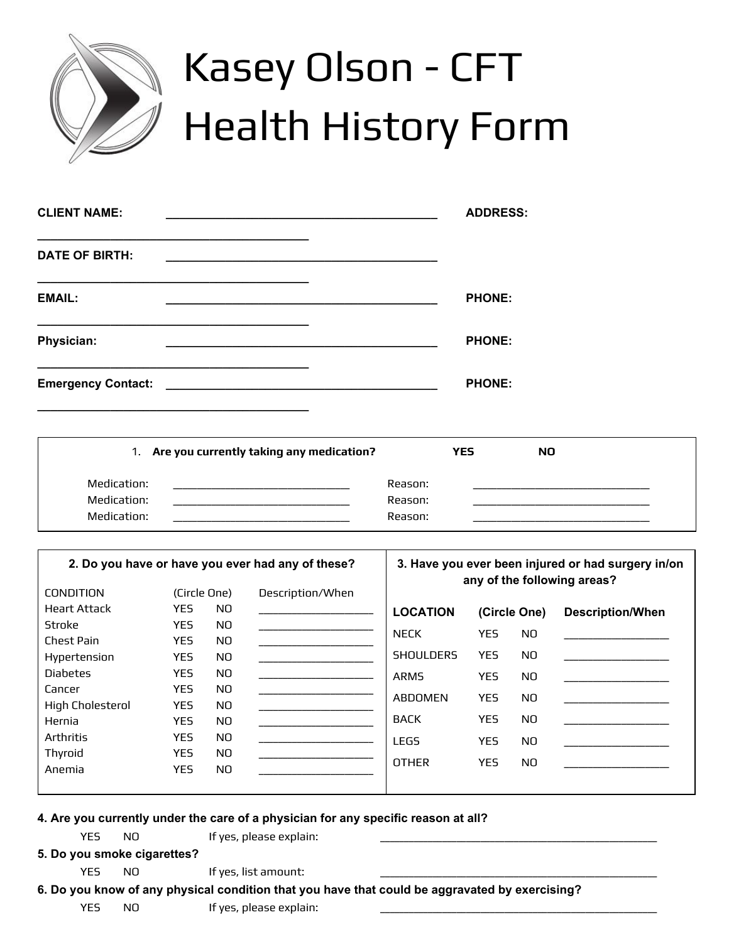

# Kasey Olson - CFT Health History Form

| <b>CLIENT NAME:</b>                              | <b>ADDRESS:</b>                                             |
|--------------------------------------------------|-------------------------------------------------------------|
| <b>DATE OF BIRTH:</b>                            | <u> 1989 - Johann Stein, Amerikaansk politiker (* 1958)</u> |
| <b>EMAIL:</b>                                    | <b>PHONE:</b>                                               |
| Physician:                                       | <b>PHONE:</b>                                               |
| Emergency Contact: National Contract of Contact: | <b>PHONE:</b>                                               |

|             | 1. Are you currently taking any medication? |         | <b>YES</b> | <b>NO</b> |  |
|-------------|---------------------------------------------|---------|------------|-----------|--|
| Medication: |                                             | Reason: |            |           |  |
| Medication: |                                             | Reason: |            |           |  |
| Medication: |                                             | Reason: |            |           |  |

| 2. Do you have or have you ever had any of these? |              |                | 3. Have you ever been injured or had surgery in/on<br>any of the following areas? |                  |            |              |                         |
|---------------------------------------------------|--------------|----------------|-----------------------------------------------------------------------------------|------------------|------------|--------------|-------------------------|
| <b>CONDITION</b>                                  | (Circle One) |                | Description/When                                                                  |                  |            |              |                         |
| <b>Heart Attack</b>                               | <b>YES</b>   | NO.            |                                                                                   | <b>LOCATION</b>  |            | (Circle One) | <b>Description/When</b> |
| Stroke                                            | <b>YES</b>   | N <sub>O</sub> |                                                                                   | <b>NECK</b>      | <b>YES</b> | NO.          |                         |
| Chest Pain                                        | <b>YES</b>   | NO.            |                                                                                   |                  |            |              |                         |
| Hypertension                                      | <b>YES</b>   | N <sub>O</sub> |                                                                                   | <b>SHOULDERS</b> | <b>YES</b> | NO.          |                         |
| <b>Diabetes</b>                                   | <b>YES</b>   | N <sub>O</sub> |                                                                                   | <b>ARMS</b>      | YES.       | NO.          |                         |
| Cancer                                            | <b>YES</b>   | NO.            |                                                                                   |                  |            |              |                         |
| <b>High Cholesterol</b>                           | <b>YES</b>   | NO.            |                                                                                   | <b>ABDOMEN</b>   | YES.       | NO.          |                         |
| Hernia                                            | <b>YES</b>   | NO.            |                                                                                   | <b>BACK</b>      | YES.       | NO.          |                         |
| Arthritis                                         | <b>YES</b>   | N <sub>O</sub> |                                                                                   | <b>LEGS</b>      | YES.       | NO.          |                         |
| Thyroid                                           | <b>YES</b>   | N <sub>O</sub> |                                                                                   |                  |            |              |                         |
| Anemia                                            | <b>YES</b>   | NO.            |                                                                                   | <b>OTHER</b>     | YES.       | NO.          |                         |
|                                                   |              |                |                                                                                   |                  |            |              |                         |

## **4. Are you currently under the care of a physician for any specific reason at all?**

|     |            | ves niease exni; |  |
|-----|------------|------------------|--|
| VES | <b>NLC</b> | nlain:           |  |
| .   | ____       |                  |  |

**5. Do you smoke cigarettes?**

YES NO If yes, list amount:

**6. Do you know of any physical condition that you have that could be aggravated by exercising?**

YES NO If yes, please explain: